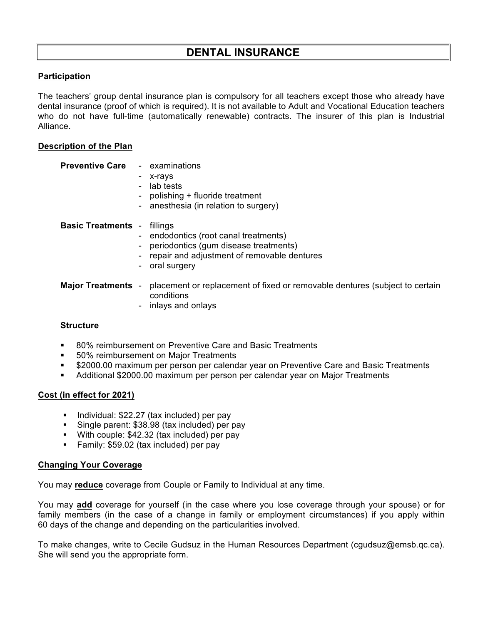# **DENTAL INSURANCE**

# **Participation**

The teachers' group dental insurance plan is compulsory for all teachers except those who already have dental insurance (proof of which is required). It is not available to Adult and Vocational Education teachers who do not have full-time (automatically renewable) contracts. The insurer of this plan is Industrial Alliance.

## **Description of the Plan**

| <b>Preventive Care</b>    | - examinations<br>x-rays<br>۰<br>lab tests<br>polishing + fluoride treatment<br>anesthesia (in relation to surgery)                                     |
|---------------------------|---------------------------------------------------------------------------------------------------------------------------------------------------------|
| <b>Basic Treatments -</b> | fillings<br>endodontics (root canal treatments)<br>periodontics (gum disease treatments)<br>repair and adjustment of removable dentures<br>oral surgery |
| <b>Major Treatments -</b> | placement or replacement of fixed or removable dentures (subject to certain<br>conditions<br>inlays and onlays<br>$\overline{\phantom{a}}$              |

### **Structure**

- 80% reimbursement on Preventive Care and Basic Treatments
- 50% reimbursement on Major Treatments
- § \$2000.00 maximum per person per calendar year on Preventive Care and Basic Treatments
- § Additional \$2000.00 maximum per person per calendar year on Major Treatments

# **Cost (in effect for 2021)**

- Individual: \$22.27 (tax included) per pay
- § Single parent: \$38.98 (tax included) per pay
- With couple: \$42.32 (tax included) per pay
- Family: \$59.02 (tax included) per pay

### **Changing Your Coverage**

You may **reduce** coverage from Couple or Family to Individual at any time.

You may **add** coverage for yourself (in the case where you lose coverage through your spouse) or for family members (in the case of a change in family or employment circumstances) if you apply within 60 days of the change and depending on the particularities involved.

To make changes, write to Cecile Gudsuz in the Human Resources Department (cgudsuz@emsb.qc.ca). She will send you the appropriate form.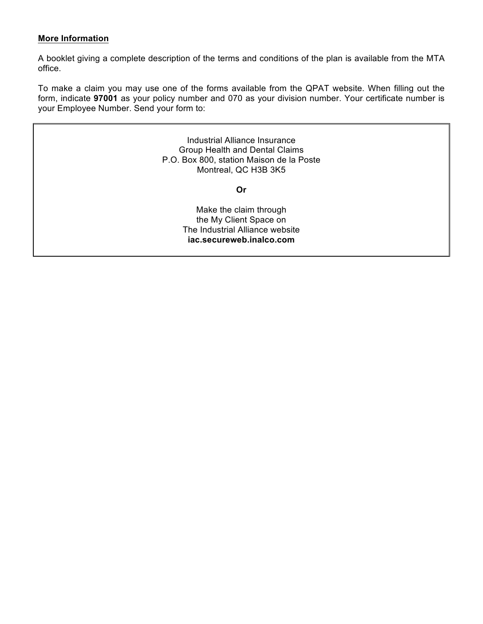# **More Information**

A booklet giving a complete description of the terms and conditions of the plan is available from the MTA office.

To make a claim you may use one of the forms available from the QPAT website. When filling out the form, indicate **97001** as your policy number and 070 as your division number. Your certificate number is your Employee Number. Send your form to:

> Industrial Alliance Insurance Group Health and Dental Claims P.O. Box 800, station Maison de la Poste Montreal, QC H3B 3K5

> > **Or**

Make the claim through the My Client Space on The Industrial Alliance website **iac.secureweb.inalco.com**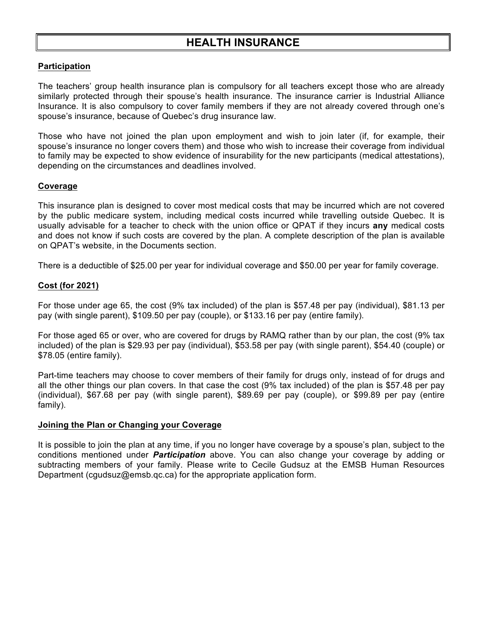# **HEALTH INSURANCE**

## **Participation**

The teachers' group health insurance plan is compulsory for all teachers except those who are already similarly protected through their spouse's health insurance. The insurance carrier is Industrial Alliance Insurance. It is also compulsory to cover family members if they are not already covered through one's spouse's insurance, because of Quebec's drug insurance law.

Those who have not joined the plan upon employment and wish to join later (if, for example, their spouse's insurance no longer covers them) and those who wish to increase their coverage from individual to family may be expected to show evidence of insurability for the new participants (medical attestations), depending on the circumstances and deadlines involved.

### **Coverage**

This insurance plan is designed to cover most medical costs that may be incurred which are not covered by the public medicare system, including medical costs incurred while travelling outside Quebec. It is usually advisable for a teacher to check with the union office or QPAT if they incurs **any** medical costs and does not know if such costs are covered by the plan. A complete description of the plan is available on QPAT's website, in the Documents section.

There is a deductible of \$25.00 per year for individual coverage and \$50.00 per year for family coverage.

### **Cost (for 2021)**

For those under age 65, the cost (9% tax included) of the plan is \$57.48 per pay (individual), \$81.13 per pay (with single parent), \$109.50 per pay (couple), or \$133.16 per pay (entire family).

For those aged 65 or over, who are covered for drugs by RAMQ rather than by our plan, the cost (9% tax included) of the plan is \$29.93 per pay (individual), \$53.58 per pay (with single parent), \$54.40 (couple) or \$78.05 (entire family).

Part-time teachers may choose to cover members of their family for drugs only, instead of for drugs and all the other things our plan covers. In that case the cost (9% tax included) of the plan is \$57.48 per pay (individual), \$67.68 per pay (with single parent), \$89.69 per pay (couple), or \$99.89 per pay (entire family).

### **Joining the Plan or Changing your Coverage**

It is possible to join the plan at any time, if you no longer have coverage by a spouse's plan, subject to the conditions mentioned under *Participation* above. You can also change your coverage by adding or subtracting members of your family. Please write to Cecile Gudsuz at the EMSB Human Resources Department (cgudsuz@emsb.qc.ca) for the appropriate application form.